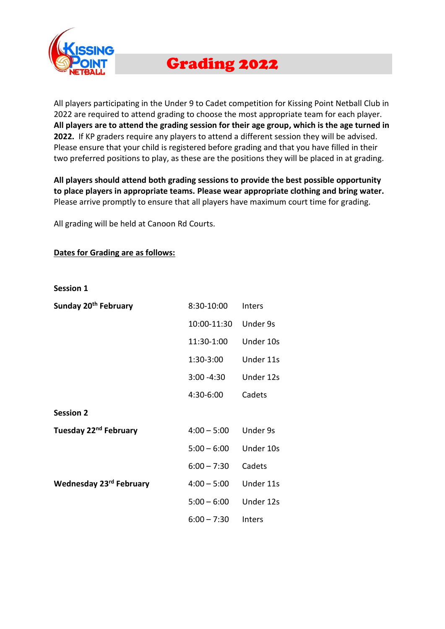

# Grading 2022

All players participating in the Under 9 to Cadet competition for Kissing Point Netball Club in 2022 are required to attend grading to choose the most appropriate team for each player. **All players are to attend the grading session for their age group, which is the age turned in 2022.** If KP graders require any players to attend a different session they will be advised. Please ensure that your child is registered before grading and that you have filled in their two preferred positions to play, as these are the positions they will be placed in at grading.

**All players should attend both grading sessions to provide the best possible opportunity to place players in appropriate teams. Please wear appropriate clothing and bring water.** Please arrive promptly to ensure that all players have maximum court time for grading.

All grading will be held at Canoon Rd Courts.

#### **Dates for Grading are as follows:**

**Session 1**

| Sunday 20 <sup>th</sup> February  | 8:30-10:00    | Inters    |
|-----------------------------------|---------------|-----------|
|                                   | 10:00-11:30   | Under 9s  |
|                                   | 11:30-1:00    | Under 10s |
|                                   | 1:30-3:00     | Under 11s |
|                                   | $3:00 - 4:30$ | Under 12s |
|                                   | 4:30-6:00     | Cadets    |
| <b>Session 2</b>                  |               |           |
| Tuesday 22 <sup>nd</sup> February | $4:00 - 5:00$ | Under 9s  |
|                                   | $5:00 - 6:00$ | Under 10s |
|                                   | $6:00 - 7:30$ | Cadets    |
| Wednesday 23rd February           | $4:00 - 5:00$ | Under 11s |
|                                   | $5:00 - 6:00$ | Under 12s |
|                                   | $6:00 - 7:30$ | Inters    |